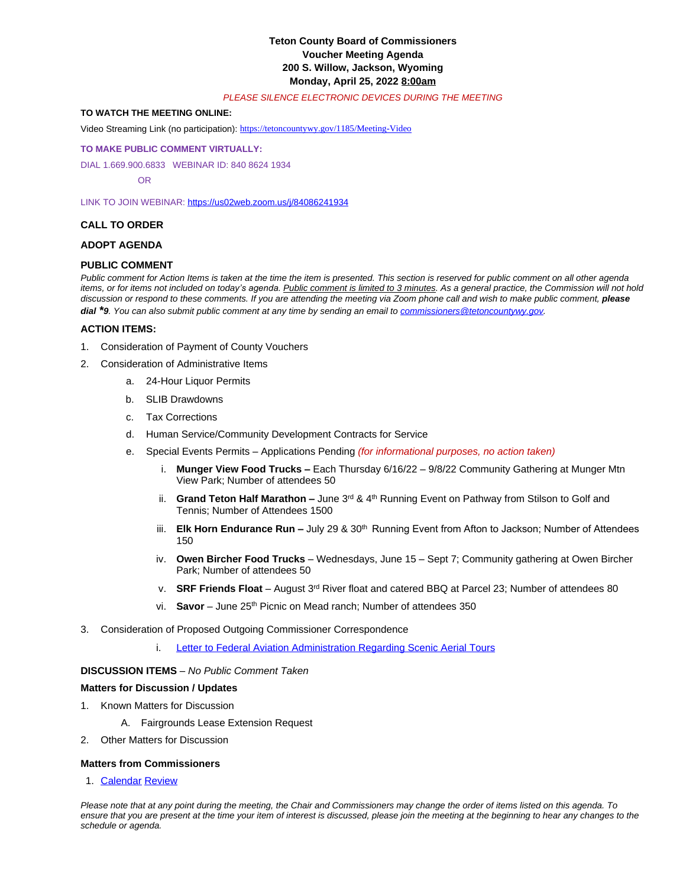# **Teton County Board of Commissioners Voucher Meeting Agenda 200 S. Willow, Jackson, Wyoming Monday, April 25, 2022 8:00am**

#### *PLEASE SILENCE ELECTRONIC DEVICES DURING THE MEETING*

# **TO WATCH THE MEETING ONLINE:**

Video Streaming Link (no participation): <https://tetoncountywy.gov/1185/Meeting-Video>

#### **[TO MAKE PUBLIC COMMENT VIRTUALLY:](https://tetoncountywy.gov/1185/Meeting-Video)**

[DIAL 1.669.900.6833 WEBINAR ID:](https://tetoncountywy.gov/1185/Meeting-Video) [840 8624 1934](https://tetoncountywy.gov/1185/Meeting-Video)

 [OR](https://tetoncountywy.gov/1185/Meeting-Video)

[LINK TO JOIN WEBINAR:](https://tetoncountywy.gov/1185/Meeting-Video) <https://us02web.zoom.us/j/84086241934>

### **CALL TO ORDER**

### **ADOPT AGENDA**

## **PUBLIC COMMENT**

*Public comment for Action Items is taken at the time the item is presented. This section is reserved for public comment on all other agenda items, or for items not included on today's agenda. Public comment is limited to 3 minutes. As a general practice, the Commission will not hold* discussion or respond to these comments. If you are attending the meeting via Zoom phone call and wish to make public comment, **please** *dial \*9. You can also submit public comment at any time by sending an email to [commissioners@tetoncountywy.gov.](mailto:commissioners@tetoncountywy.gov)*

#### **[ACTION ITEMS:](mailto:commissioners@tetoncountywy.gov)**

- 1. [Consideration of](mailto:commissioners@tetoncountywy.gov) [Payment](mailto:commissioners@tetoncountywy.gov) [of County Vouchers](mailto:commissioners@tetoncountywy.gov)
- 2. [Consideration of Administrative Items](mailto:commissioners@tetoncountywy.gov)
	- a. [24-Hour Liquor Permits](mailto:commissioners@tetoncountywy.gov)
	- b. [SLIB](mailto:commissioners@tetoncountywy.gov) [Drawdowns](mailto:commissioners@tetoncountywy.gov)
	- c. [Tax Corrections](mailto:commissioners@tetoncountywy.gov)
	- d. [Human Service/Community Development Contracts for Service](mailto:commissioners@tetoncountywy.gov)
	- e. [Special Events Permits](mailto:commissioners@tetoncountywy.gov)  [Applications Pending](mailto:commissioners@tetoncountywy.gov) *[\(for informational purposes, no action taken\)](mailto:commissioners@tetoncountywy.gov)*
		- i. **[Munger View Food Trucks](mailto:commissioners@tetoncountywy.gov) –** [Each Thu](mailto:commissioners@tetoncountywy.gov)rsday 6/16/22 – [9/8/22 Community Gathering at Munger Mtn](mailto:commissioners@tetoncountywy.gov)  [View Park; Number of attendees 50](mailto:commissioners@tetoncountywy.gov)
		- ii. **[Grand Teton Half Marathon](mailto:commissioners@tetoncountywy.gov) –** [June 3](mailto:commissioners@tetoncountywy.gov)<sup>[rd](mailto:commissioners@tetoncountywy.gov)</sup> [& 4](mailto:commissioners@tetoncountywy.gov)<sup>[th](mailto:commissioners@tetoncountywy.gov)</sup> Running Event on Pathway from Stilson to Golf and [Tennis; Number of Attendees 1500](mailto:commissioners@tetoncountywy.gov)
		- iii. **[Elk Horn Endurance Run](mailto:commissioners@tetoncountywy.gov) -** [July 29 & 30](mailto:commissioners@tetoncountywy.gov)<sup>[th](mailto:commissioners@tetoncountywy.gov)</sup> Running Event from Afton to Jackson; Number of Attendees [150](mailto:commissioners@tetoncountywy.gov)
		- iv. **[Owen Bircher Food Trucks](mailto:commissioners@tetoncountywy.gov)** Wednesdays, June 15 – [Sept 7; Community gathering at Owen Bircher](mailto:commissioners@tetoncountywy.gov)  [Park; Number of attendees 50](mailto:commissioners@tetoncountywy.gov)
		- v. **[SRF Friends Float](mailto:commissioners@tetoncountywy.gov)** – [August 3](mailto:commissioners@tetoncountywy.gov)[rd](mailto:commissioners@tetoncountywy.gov) [River float and catered BBQ at Parcel 23; Number of attendees 80](mailto:commissioners@tetoncountywy.gov)
		- vi. **[Savor](mailto:commissioners@tetoncountywy.gov)** – [June 25](mailto:commissioners@tetoncountywy.gov)<sup>[th](mailto:commissioners@tetoncountywy.gov)</sup> [Picnic on Mead ranch; Number of attendees 350](mailto:commissioners@tetoncountywy.gov)
- 3. [Consideration of](mailto:commissioners@tetoncountywy.gov) [Proposed Outgoing Commissioner Correspondence](mailto:commissioners@tetoncountywy.gov)
	- i. [Letter to Federal Aviation Administration Regarding Scenic Aerial Tours](https://www.tetoncountywy.gov/DocumentCenter/View/21928/BCC-Letter-to-FAA-Air-Tours-Over-GRTE)

### **DISCUSSION ITEMS** *– No Public Comment Taken*

### **Matters for Discussion / Updates**

- 1. Known Matters for Discussion
	- A. Fairgrounds Lease Extension Request
- 2. Other Matters for Discussion

# **Matters from Commissioners**

1. [Calendar](https://www.tetoncountywy.gov/DocumentCenter/View/21924/0425-Calendar) [Review](https://www.tetoncountywy.gov/DocumentCenter/View/21924/0425-Calendar)

*Please note that at any point during the meeting, the Chair and Commissioners may change the order of items listed on this agenda. To ensure that you are present at the time your item of interest is discussed, please join the meeting at the beginning to hear any changes to the schedule or agenda.*